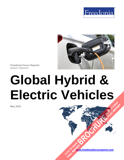



**Freedonia Focus Reports** Global Collection

# **Global Hybrid & Electric Vehicles [BROCHURE](https://www.freedoniafocusreports.com/Global-Hybrid-Electric-Vehicles-FW85023/?progid=89541) CLICK TO ORDER**

**May 2022**

**[www.freedoniafocusreports.com](https://www.freedoniafocusreports.com/redirect.asp?progid=89534&url=/)** CLICK TO ORDER **FULL REPORT** 

**FULL REPORT**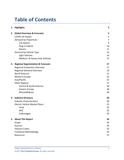# **Table of Contents**

|    | 1. Highlights                                | 3              |
|----|----------------------------------------------|----------------|
|    | 2. Global Overview & Forecasts               | 5              |
|    | COVID-19 Impact                              | 5              |
|    | Demand by Powertrain                         | $\overline{7}$ |
|    | Full Hybrid                                  | 9              |
|    | Plug-in Hybrid                               | 10             |
|    | Electric                                     | 11             |
|    | Demand by Vehicle Type                       | 13             |
|    | <b>Light Vehicles</b>                        | 14             |
|    | Medium- & Heavy-Duty Vehicles                | 15             |
| 3. | <b>Regional Segmentation &amp; Forecasts</b> | 17             |
|    | <b>Regional Production Overview</b>          | 17             |
|    | <b>Regional Demand Overview</b>              | 19             |
|    | North America                                | 21             |
|    | Western Europe                               | 23             |
|    | Asia/Pacific                                 | 25             |
|    | <b>Other Regions</b>                         | 27             |
|    | <b>Central &amp; South America</b>           | 28             |
|    | Eastern Europe                               | 28             |
|    | Africa/Mideast                               | 28             |
|    | 4. Industry Structure                        | 30             |
|    | <b>Industry Characteristics</b>              | 30             |
|    | <b>Electric Vehicle Market Share</b>         | 31             |
|    | Tesla                                        | 32             |
|    | <b>SAIC</b>                                  | 32             |
|    | Volkswagen                                   | 32             |
|    | 5. About This Report                         | 34             |
|    | Scope                                        | 34             |
|    | Sources                                      | 34             |
|    | <b>Industry Codes</b>                        | 35             |
|    | Freedonia Methodology                        | 35             |
|    | Resources                                    | 37             |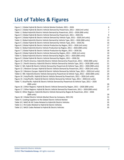# **List of Tables & Figures**

| Figure 1   Global Hybrid & Electric Vehicle Market Outlook, 2021 - 2026                               | 4              |
|-------------------------------------------------------------------------------------------------------|----------------|
| Figure 2   Global Hybrid & Electric Vehicle Demand by Powertrain, 2011 – 2026 (mil units)             | $\overline{7}$ |
| Table 1   Global Hybrid & Electric Vehicle Demand by Powertrain, 2011 - 2026 (000 units)              | $\overline{7}$ |
| Figure 3   Global Hybrid & Electric Vehicle Demand by Powertrain, 2011 - 2026 (%)                     | 9              |
| Figure 4   Global Hybrid & Electric Vehicle Demand by Vehicle Type, 2011 - 2026 (mil units)           | 13             |
| Table 2   Global Hybrid & Electric Vehicle Demand by Vehicle Type, 2011 - 2026 (000 units)            | 13             |
| Figure 5   Global Hybrid & Electric Vehicle Demand by Vehicle Type, 2011 - 2026 (%)                   | 16             |
| Figure 6   Global Hybrid & Electric Vehicle Production by Region, 2011 - 2026 (mil units)             | 17             |
| Table 3   Global Hybrid & Electric Vehicle Production by Region, 2011 - 2026 (000 units)              | 17             |
| Figure 7   Global Hybrid & Electric Vehicle Production by Region, 2011 - 2026 (%)                     | 18             |
| Figure 8   Global Hybrid & Electric Vehicle Demand by Region, 2011 - 2026 (mil units)                 | 19             |
| Table 4   Global Hybrid & Electric Vehicle Demand by Region, 2011 - 2026 (000 units)                  | 19             |
| Figure 9   Global Hybrid & Electric Vehicle Demand by Region, 2011 - 2026 (%)                         | 20             |
| Figure 10   North America: Hybrid & Electric Vehicle Demand by Powertrain, 2011 - 2026 (000 units)    | 21             |
| Figure 11   North America: Hybrid & Electric Vehicle Demand by Vehicle Type, 2011 - 2026 (000 units)  | 21             |
| Table 5   NA: Hybrid & Electric Vehicle Demand by Powertrain & Vehicle Type, 2011 - 2026 (000 units)  | 22             |
| Figure 12   Western Europe: Hybrid & Electric Vehicle Demand by Powertrain, 2011 - 2026 (mil units)   | 23             |
| Figure 13   Western Europe: Hybrid & Electric Vehicle Demand by Vehicle Type, 2011 - 2026 (mil units) | 23             |
| Table 6   WE: Hybrid & Electric Vehicle Demand by Powertrain & Vehicle Type, 2011 - 2026 (000 units)  | 24             |
| Figure 14   Asia/Pacific: Hybrid & Electric Vehicle Demand by Powertrain, 2011 - 2026 (mil units)     | 25             |
| Figure 15   Asia/Pacific: Hybrid & Electric Vehicle Demand by Vehicle Type, 2011 - 2026 (mil units)   | 25             |
| Table 7   Asia/Pacific: Hybrid & Electric Vehicle Demand by Powertrain & Vehicle Type, 2011 - 2026    |                |
| (000 units)                                                                                           | 26             |
| Figure 16   Other Regions: Hybrid & Electric Vehicle Demand by Region, 2011 - 2026 (000 units)        | 27             |
| Figure 17   Other Regions: Hybrid & Electric Vehicle Demand by Powertrain, 2011 - 2026 (000 units)    | 27             |
| Table 8   Other Regions: Hybrid & Electric Vehicle Demand by Region & Powertrain, 2011 - 2026         |                |
| (000 units)                                                                                           | 29             |
| Figure 18   Global Electric Vehicle Market Share by Company, 2021 (%)                                 | 31             |
| Table 9   Leading Suppliers to the Global Electric Vehicle Market                                     | 32             |
| Table 10   NAICS & SIC Codes Related to Hybrid & Electric Vehicles                                    | 35             |
| Table 11   HS Codes Related to Hybrid & Electric Vehicles                                             | 35             |
| Table 12   NACE Codes Related to Hybrid & Electric Vehicles                                           | 35             |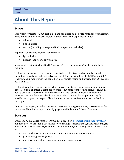# <span id="page-3-0"></span>**5. About This Report**

# <span id="page-3-1"></span>**Scope**

This report forecasts to 2026 global demand for hybrid and electric vehicles by powertrain, vehicle type, and major world region in units. Powertrain segments include:

- full hybrid
- plug-in hybrid
- electric (including battery- and fuel cell-powered vehicles)

Reported vehicle type segments encompass:

- light vehicles
- medium- and heavy-duty vehicles

Major world regions include North America, Western Europe, Asia/Pacific, and all other regions.

To illustrate historical trends, world, powertrain, vehicle type, and regional demand (including powertrain and vehicle type segments) are provided for 2011, 2016, and 2021. Finally, global production is segmented by major world region and provided for 2011, 2016, 2021, and 2026.

Excluded from the scope of this report are micro hybrids, in which vehicle propulsion is generated from an internal combustion engine, but some technological features found in hybrid vehicles – specifically start-stop systems – are used to improve fuel economy. However, because these vehicles do not use an electric motor for propulsion, they fall outside the scope of this report. Electric motorcycles and e-bikes are also excluded from this report.

Other various topics, including profiles of pertinent leading companies, are covered in this report. A full outline of report items by page is available in the Table of Contents.

# <span id="page-3-2"></span>**Sources**

*Global Hybrid & Electric Vehicles* (FW85023) is based on [a comprehensive industry study](http://www.freedoniagroup.com/DocumentDetails.aspx?ReferrerId=FL-FOCUS&studyid=4423) published by The Freedonia Group. Reported findings represent the synthesis and analysis of data from various primary, secondary, macroeconomic, and demographic sources, such as:

- firms participating in the industry, and their suppliers and customers
- government/public agencies
- intergovernmental and non-governmental organizations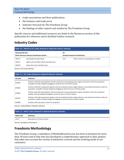- trade associations and their publications
- the business and trade press
- indicator forecasts by The Freedonia Group
- the findings of other reports and studies by The Freedonia Group

Specific sources and additional resources are listed in the Resources section of this publication for reference and to facilitate further research.

# <span id="page-4-0"></span>**Industry Codes**

<span id="page-4-2"></span>

| Table 10   NAICS & SIC Codes Related to Hybrid & Electric Vehicles |                                               |                                                         |                                         |  |
|--------------------------------------------------------------------|-----------------------------------------------|---------------------------------------------------------|-----------------------------------------|--|
| NAICS/SCIAN 2017<br>North American Industry Classification System  |                                               | <b>SIC</b><br><b>Standard Industrial Classification</b> |                                         |  |
| 336111                                                             | Automobile manufacturing                      | 3711                                                    | Motor vehicles and passenger car bodies |  |
| 336112                                                             | Light truck and utility vehicle manufacturing |                                                         |                                         |  |
| 336120                                                             | Heavy duty truck manufacturing                |                                                         |                                         |  |

Source: US Census Bureau

<span id="page-4-3"></span>

| Table 11   HS Codes Related to Hybrid & Electric Vehicles |                                                                                                                                                                                                                      |  |  |  |
|-----------------------------------------------------------|----------------------------------------------------------------------------------------------------------------------------------------------------------------------------------------------------------------------|--|--|--|
| <b>HS Code</b>                                            | <b>Definition</b>                                                                                                                                                                                                    |  |  |  |
| 870340                                                    | Vehicles; with both spark-ignition internal combustion reciprocating piston engine and electric motor for propulsion,<br>incapable of being charged by plugging to external source of electric power                 |  |  |  |
| 870350                                                    | Vehicles; with both compression-ignition internal combustion piston engine (diesel or semi-diesel) and electric motor for<br>propulsion, incapable of being charged by plugging to external source of electric power |  |  |  |
| 870360                                                    | Vehicles; with both spark-ignition internal combustion reciprocating piston engine and electric motor for propulsion,<br>capable of being charged by plugging to external source of electric power                   |  |  |  |
| 870370                                                    | Vehicles; with both compression-ignition internal combustion piston engine (diesel or semi-diesel) and electric motor for<br>propulsion, capable of being charged by plugging to external source of electric power   |  |  |  |
| 870380                                                    | Vehicles; with only electric motor for propulsion                                                                                                                                                                    |  |  |  |

Source: United Nations Statistics Division

<span id="page-4-4"></span>

| Table 12   NACE Codes Related to Hybrid & Electric Vehicles |                               |  |  |  |
|-------------------------------------------------------------|-------------------------------|--|--|--|
| <b>NACE Code</b>                                            | <b>Definition</b>             |  |  |  |
| 29.10                                                       | Manufacture of motor vehicles |  |  |  |

Source: European Commission

## <span id="page-4-1"></span>**Freedonia Methodology**

The Freedonia Group, a subsidiary of MarketResearch.com, has been in business for more than 30 years and in that time has developed a comprehensive approach to data analysis that takes into account the variety of industries covered and the evolving needs of our customers.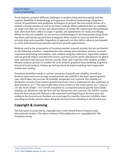| <b>About This Report</b> |
|--------------------------|
| Freedonia Methodology    |

Every industry presents different challenges in market sizing and forecasting, and this requires flexibility in methodology and approach. Freedonia methodology integrates a variety of quantitative and qualitative techniques to present the best overall picture of a market's current position as well as its future outlook: When published data are available, we make sure they are correct and representative of reality. We understand that published data often have flaws either in scope or quality, and adjustments are made accordingly. Where no data are available, we use various methodologies to develop market sizing (both top-down and bottom-up) and then triangulate those results to come up with the most accurate data series possible. Regardless of approach, we also talk to industry participants to verify both historical perspective and future growth opportunities.

Methods used in the preparation of Freedonia market research include, but are not limited to, the following activities: comprehensive data mining and evaluation, primary research, consensus forecasting and analysis, ratio analysis using key indicators, regression analysis, end use growth indices and intensity factors, purchase power parity adjustments for global data, consumer and end user surveys, market share and corporate sales analysis, product lifespan analysis, product or market life cycle analysis, graphical data modeling, long-term historical trend analysis, bottom-up and top-down demand modeling, and comparative market size ranking.

Freedonia quantifies trends in various measures of growth and volatility. Growth (or decline) expressed as an average annual growth rate (AAGR) is the least squares growth rate, which takes into account all available datapoints over a period. The volatility of datapoints around a least squares growth trend over time is expressed via the coefficient of determination, or  $r^2$ . The most stable data series relative to the trend carries an  $r^2$  value of 1.0; the most volatile – 0.0. Growth calculated as a compound annual growth rate (CAGR) employs, by definition, only the first and last datapoints over a period. The CAGR is used to describe forecast growth, defined as the expected trend beginning in the base year and ending in the forecast year. Readers are encouraged to consider historical volatility when assessing particular annual values along the forecast trend, including in the forecast year.

# **Copyright & Licensing**

The full report is protected by copyright laws of the United States of America and international treaties. The entire contents of the publication are copyrighted by The Freedonia Group.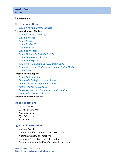## <span id="page-6-0"></span>**Resources**

#### **The Freedonia Group**

*[Global Hybrid & Electric Vehicles](http://www.freedoniagroup.com/DocumentDetails.aspx?ReferrerId=FL-FOCUS&studyid=4423)*

#### **[Freedonia Industry Studies](http://www.freedoniagroup.com/Home.aspx?ReferrerId=FL-Focus)**

*[Global Automotive Coatings](https://www.freedoniagroup.com/DocumentDetails.aspx?ReferrerId=FL-FOCUS&StudyId=4111) [Global Batteries](https://www.freedoniagroup.com/DocumentDetails.aspx?ReferrerId=FL-FOCUS&StudyId=3875) [Global Buses](https://www.freedoniagroup.com/DocumentDetails.aspx?ReferrerId=FL-FOCUS&StudyId=3733) [Global Engine Oils](https://www.freedoniagroup.com/DocumentDetails.aspx?ReferrerId=FL-FOCUS&StudyId=4017) [Global Flat Glass](https://www.freedoniagroup.com/DocumentDetails.aspx?ReferrerId=FL-FOCUS&StudyId=3794) [Global Lubricants](https://www.freedoniagroup.com/DocumentDetails.aspx?ReferrerId=FL-FOCUS&StudyId=3841) [Global Motor Vehicle Outlook 2020](https://www.freedoniagroup.com/DocumentDetails.aspx?ReferrerId=FL-FOCUS&StudyId=3838) [Global Motorcycle Lubricants](https://www.freedoniagroup.com/DocumentDetails.aspx?ReferrerId=FL-FOCUS&StudyId=4016) [Global Motorcycles](https://www.freedoniagroup.com/DocumentDetails.aspx?ReferrerId=FL-FOCUS&StudyId=3827) [Global Off-Road Equipment Technology 2022](https://www.freedoniagroup.com/DocumentDetails.aspx?ReferrerId=FL-FOCUS&StudyId=4430) [Global Thermoplastic Elastomers: Motor Vehicle Market](https://www.freedoniagroup.com/DocumentDetails.aspx?ReferrerId=FL-FOCUS&StudyId=3923) [Global Tires](https://www.freedoniagroup.com/DocumentDetails.aspx?ReferrerId=FL-FOCUS&StudyId=3687)*

### **[Freedonia Focus Reports](https://www.freedoniafocusreports.com/redirect.asp?progid=89534&url=/)**

*[Global Light Vehicles](https://www.freedoniafocusreports.com/Global-Light-Vehicles-FW85015/?progid=89534) [Motor Vehicle Biofuels: United States](https://www.freedoniafocusreports.com/Motor-Vehicle-Biofuels-United-States-FF45035/?progid=89534) [Motor Vehicle Leasing: United States](https://www.freedoniafocusreports.com/Motor-Vehicle-Leasing-United-States-FF95043/?progid=89534) [Motor Vehicles: United States](https://www.freedoniafocusreports.com/Motor-Vehicles-United-States-FF85029/?progid=89534) [Power Transmission Components: United States](https://www.freedoniafocusreports.com/Power-Transmission-Components-United-States-FF70010/?progid=89534) [Semiconductors: United States](https://www.freedoniafocusreports.com/Semiconductors-United-States-FF80023/?progid=89534)*

#### **[Freedonia Custom Research](http://www.freedoniagroup.com/CustomResearch.aspx?ReferrerId=FL-Focus)**

### **Trade Publications**

*CleanTechnica Green Car Congress Green Car Reports HybridCars.com WardsAuto*

### **Agencies & Associations**

Anfavea Brazil American Public Transportation Association Austrian Ministry of Transport European Alternative Fuels Observatory European Automobile Manufacturers Association